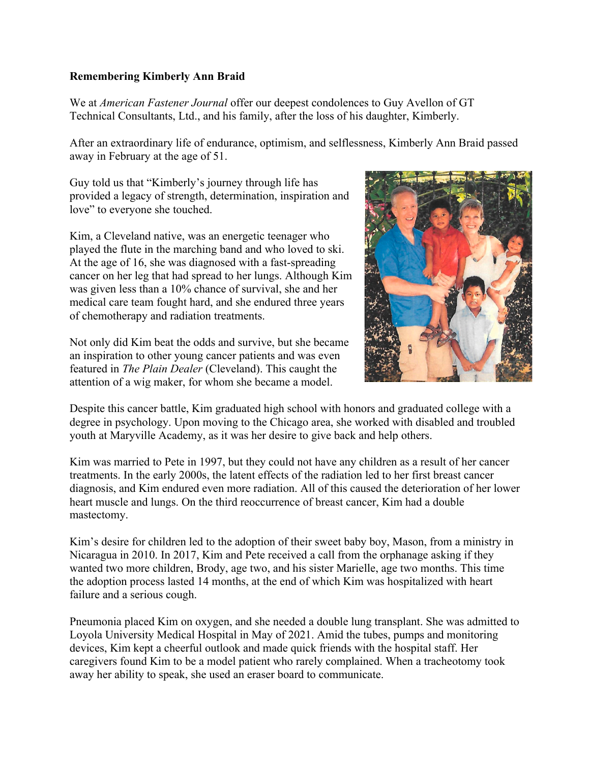## **Remembering Kimberly Ann Braid**

We at *American Fastener Journal* offer our deepest condolences to Guy Avellon of GT Technical Consultants, Ltd., and his family, after the loss of his daughter, Kimberly.

After an extraordinary life of endurance, optimism, and selflessness, Kimberly Ann Braid passed away in February at the age of 51.

Guy told us that "Kimberly's journey through life has provided a legacy of strength, determination, inspiration and love" to everyone she touched.

Kim, a Cleveland native, was an energetic teenager who played the flute in the marching band and who loved to ski. At the age of 16, she was diagnosed with a fast-spreading cancer on her leg that had spread to her lungs. Although Kim was given less than a 10% chance of survival, she and her medical care team fought hard, and she endured three years of chemotherapy and radiation treatments.

Not only did Kim beat the odds and survive, but she became an inspiration to other young cancer patients and was even featured in *The Plain Dealer* (Cleveland). This caught the attention of a wig maker, for whom she became a model.



Despite this cancer battle, Kim graduated high school with honors and graduated college with a degree in psychology. Upon moving to the Chicago area, she worked with disabled and troubled youth at Maryville Academy, as it was her desire to give back and help others.

Kim was married to Pete in 1997, but they could not have any children as a result of her cancer treatments. In the early 2000s, the latent effects of the radiation led to her first breast cancer diagnosis, and Kim endured even more radiation. All of this caused the deterioration of her lower heart muscle and lungs. On the third reoccurrence of breast cancer, Kim had a double mastectomy.

Kim's desire for children led to the adoption of their sweet baby boy, Mason, from a ministry in Nicaragua in 2010. In 2017, Kim and Pete received a call from the orphanage asking if they wanted two more children, Brody, age two, and his sister Marielle, age two months. This time the adoption process lasted 14 months, at the end of which Kim was hospitalized with heart failure and a serious cough.

Pneumonia placed Kim on oxygen, and she needed a double lung transplant. She was admitted to Loyola University Medical Hospital in May of 2021. Amid the tubes, pumps and monitoring devices, Kim kept a cheerful outlook and made quick friends with the hospital staff. Her caregivers found Kim to be a model patient who rarely complained. When a tracheotomy took away her ability to speak, she used an eraser board to communicate.